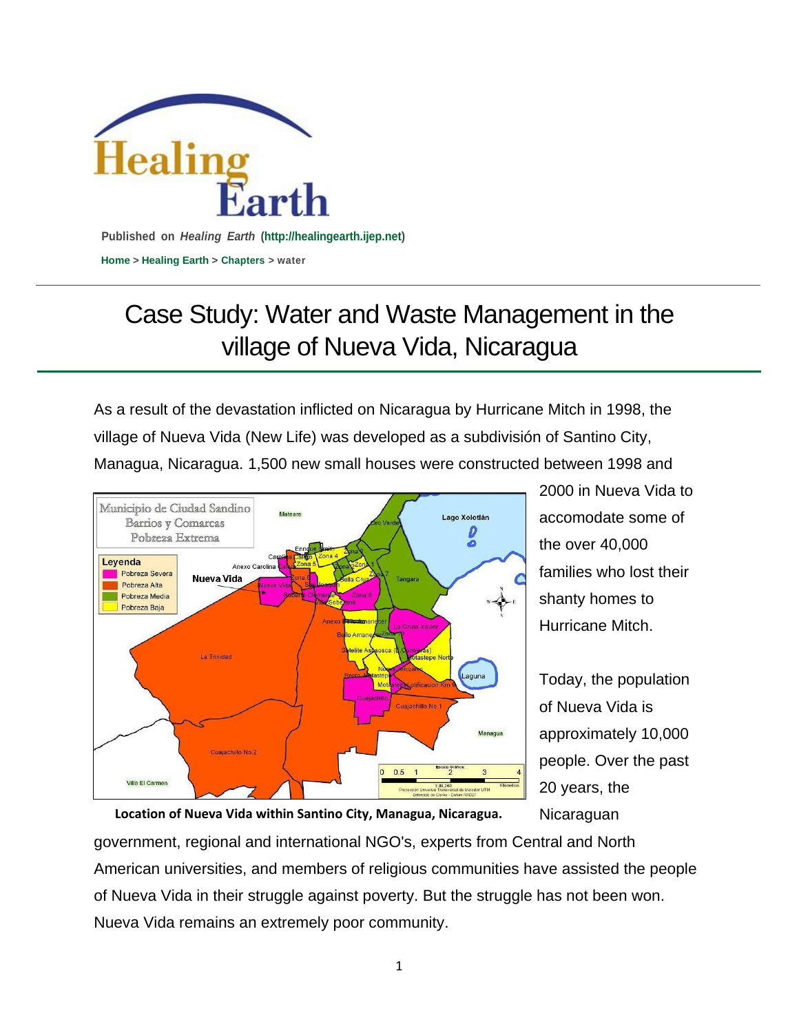

## Case Study: Water and Waste Management in the village of Nueva Vida, Nicaragua

As a result of the devastation inflicted on Nicaragua by Hurricane Mitch in 1998, the village of Nueva Vida (New Life) was developed as a subdivisión of Santino City, Managua, Nicaragua. 1,500 new small houses were constructed between 1998 and



2000 in Nueva Vida to accomodate some of the over 40,000 families who lost their shanty homes to Hurricane Mitch.

Today, the population of Nueva Vida is approximately 10,000 people. Over the past 20 years, the **Nicaraguan** 

**Location of Nueva Vida within Santino City, Managua, Nicaragua.**

government, regional and international NGO's, experts from Central and North American universities, and members of religious communities have assisted the people of Nueva Vida in their struggle against poverty. But the struggle has not been won. Nueva Vida remains an extremely poor community.

1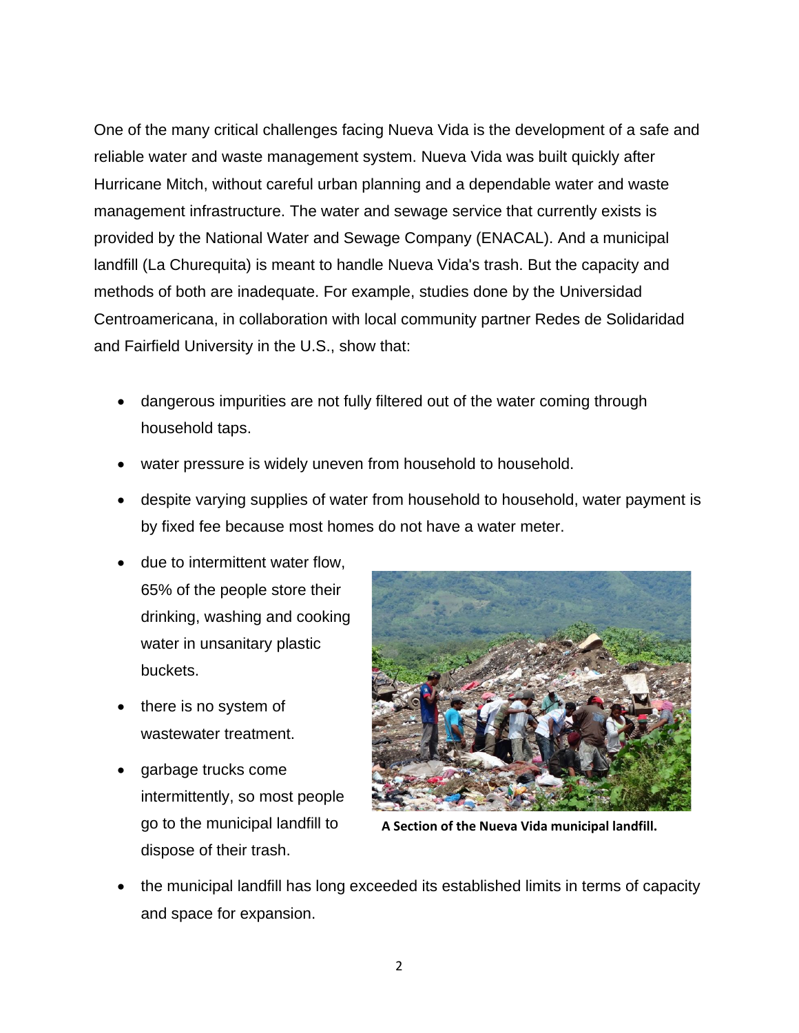One of the many critical challenges facing Nueva Vida is the development of a safe and reliable water and waste management system. Nueva Vida was built quickly after Hurricane Mitch, without careful urban planning and a dependable water and waste management infrastructure. The water and sewage service that currently exists is provided by the National Water and Sewage Company (ENACAL). And a municipal landfill (La Churequita) is meant to handle Nueva Vida's trash. But the capacity and methods of both are inadequate. For example, studies done by the Universidad Centroamericana, in collaboration with local community partner Redes de Solidaridad and Fairfield University in the U.S., show that:

- dangerous impurities are not fully filtered out of the water coming through household taps.
- water pressure is widely uneven from household to household.
- despite varying supplies of water from household to household, water payment is by fixed fee because most homes do not have a water meter.
- due to intermittent water flow, 65% of the people store their drinking, washing and cooking water in unsanitary plastic buckets.
- there is no system of wastewater treatment.
- garbage trucks come intermittently, so most people go to the municipal landfill to dispose of their trash.



**A Section of the Nueva Vida municipal landfill.**

 the municipal landfill has long exceeded its established limits in terms of capacity and space for expansion.